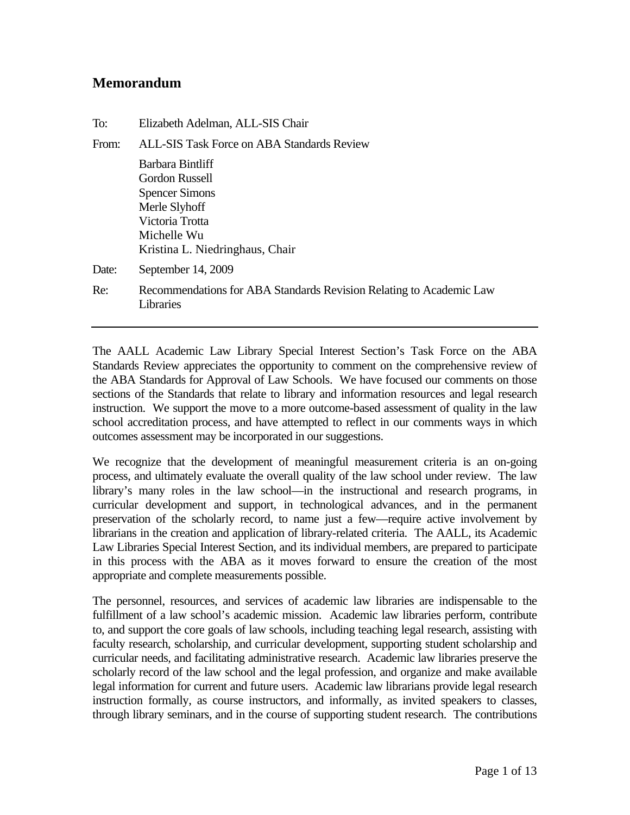# **Memorandum**

| To:   | Elizabeth Adelman, ALL-SIS Chair                                                                                                                  |
|-------|---------------------------------------------------------------------------------------------------------------------------------------------------|
| From: | ALL-SIS Task Force on ABA Standards Review                                                                                                        |
|       | Barbara Bintliff<br>Gordon Russell<br><b>Spencer Simons</b><br>Merle Slyhoff<br>Victoria Trotta<br>Michelle Wu<br>Kristina L. Niedringhaus, Chair |
| Date: | September 14, 2009                                                                                                                                |
| Re:   | Recommendations for ABA Standards Revision Relating to Academic Law<br>Libraries                                                                  |

The AALL Academic Law Library Special Interest Section's Task Force on the ABA Standards Review appreciates the opportunity to comment on the comprehensive review of the ABA Standards for Approval of Law Schools. We have focused our comments on those sections of the Standards that relate to library and information resources and legal research instruction. We support the move to a more outcome-based assessment of quality in the law school accreditation process, and have attempted to reflect in our comments ways in which outcomes assessment may be incorporated in our suggestions.

We recognize that the development of meaningful measurement criteria is an on-going process, and ultimately evaluate the overall quality of the law school under review. The law library's many roles in the law school—in the instructional and research programs, in curricular development and support, in technological advances, and in the permanent preservation of the scholarly record, to name just a few—require active involvement by librarians in the creation and application of library-related criteria. The AALL, its Academic Law Libraries Special Interest Section, and its individual members, are prepared to participate in this process with the ABA as it moves forward to ensure the creation of the most appropriate and complete measurements possible.

The personnel, resources, and services of academic law libraries are indispensable to the fulfillment of a law school's academic mission. Academic law libraries perform, contribute to, and support the core goals of law schools, including teaching legal research, assisting with faculty research, scholarship, and curricular development, supporting student scholarship and curricular needs, and facilitating administrative research. Academic law libraries preserve the scholarly record of the law school and the legal profession, and organize and make available legal information for current and future users. Academic law librarians provide legal research instruction formally, as course instructors, and informally, as invited speakers to classes, through library seminars, and in the course of supporting student research. The contributions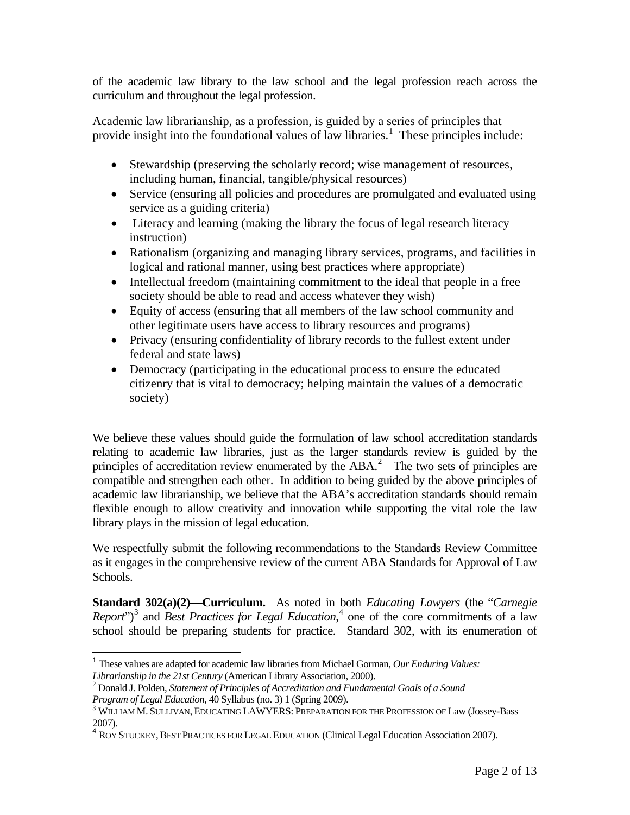of the academic law library to the law school and the legal profession reach across the curriculum and throughout the legal profession.

Academic law librarianship, as a profession, is guided by a series of principles that provide insight into the foundational values of law libraries.<sup>[1](#page-1-0)</sup> These principles include:

- Stewardship (preserving the scholarly record; wise management of resources, including human, financial, tangible/physical resources)
- Service (ensuring all policies and procedures are promulgated and evaluated using service as a guiding criteria)
- Literacy and learning (making the library the focus of legal research literacy instruction)
- Rationalism (organizing and managing library services, programs, and facilities in logical and rational manner, using best practices where appropriate)
- Intellectual freedom (maintaining commitment to the ideal that people in a free society should be able to read and access whatever they wish)
- Equity of access (ensuring that all members of the law school community and other legitimate users have access to library resources and programs)
- Privacy (ensuring confidentiality of library records to the fullest extent under federal and state laws)
- Democracy (participating in the educational process to ensure the educated citizenry that is vital to democracy; helping maintain the values of a democratic society)

We believe these values should guide the formulation of law school accreditation standards relating to academic law libraries, just as the larger standards review is guided by the principles of accreditation review enumerated by the  $ABA$ . The two sets of principles are compatible and strengthen each other. In addition to being guided by the above principles of academic law librarianship, we believe that the ABA's accreditation standards should remain flexible enough to allow creativity and innovation while supporting the vital role the law library plays in the mission of legal education.

We respectfully submit the following recommendations to the Standards Review Committee as it engages in the comprehensive review of the current ABA Standards for Approval of Law Schools.

**Standard 302(a)(2)—Curriculum.** As noted in both *Educating Lawyers* (the "*Carnegie Report*")<sup>[3](#page-1-2)</sup> and *Best Practices for Legal Education*,<sup>[4](#page-1-3)</sup> one of the core commitments of a law school should be preparing students for practice. Standard 302, with its enumeration of

<span id="page-1-0"></span> $\overline{\phantom{a}}$ <sup>1</sup> These values are adapted for academic law libraries from Michael Gorman, *Our Enduring Values: Librarianship in the 21st Century* (American Library Association, 2000).

<span id="page-1-1"></span>Donald J. Polden, *Statement of Principles of Accreditation and Fundamental Goals of a Sound Program of Legal Education*, 40 Syllabus (no. 3) 1 (Spring 2009).

<span id="page-1-2"></span>WILLIAM M. SULLIVAN,EDUCATING LAWYERS: PREPARATION FOR THE PROFESSION OF Law (Jossey-Bass 2007).

<span id="page-1-3"></span><sup>&</sup>lt;sup>4</sup> ROY STUCKEY, BEST PRACTICES FOR LEGAL EDUCATION (Clinical Legal Education Association 2007).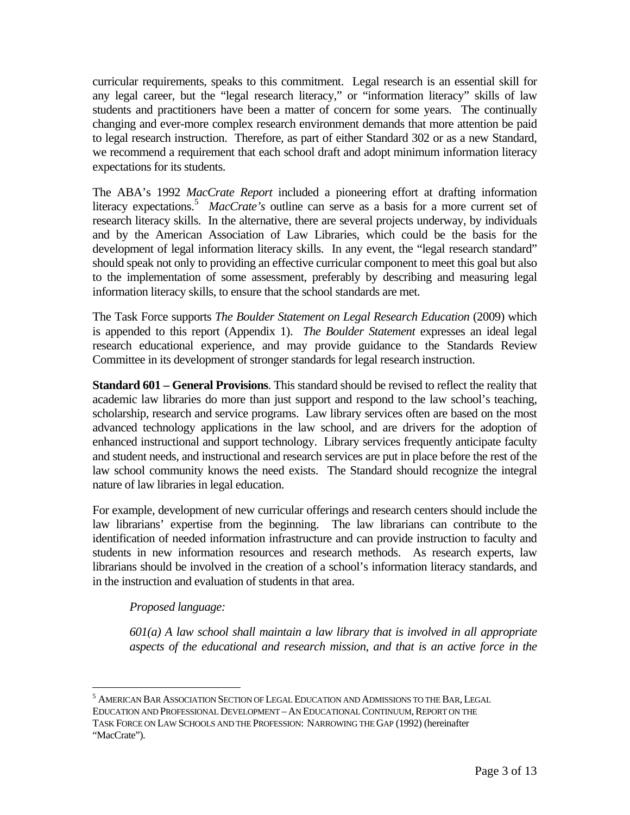curricular requirements, speaks to this commitment. Legal research is an essential skill for any legal career, but the "legal research literacy," or "information literacy" skills of law students and practitioners have been a matter of concern for some years. The continually changing and ever-more complex research environment demands that more attention be paid to legal research instruction. Therefore, as part of either Standard 302 or as a new Standard, we recommend a requirement that each school draft and adopt minimum information literacy expectations for its students.

The ABA's 1992 *MacCrate Report* included a pioneering effort at drafting information literacy expectations.<sup>[5](#page-2-0)</sup> MacCrate's outline can serve as a basis for a more current set of research literacy skills. In the alternative, there are several projects underway, by individuals and by the American Association of Law Libraries, which could be the basis for the development of legal information literacy skills. In any event, the "legal research standard" should speak not only to providing an effective curricular component to meet this goal but also to the implementation of some assessment, preferably by describing and measuring legal information literacy skills, to ensure that the school standards are met.

The Task Force supports *The Boulder Statement on Legal Research Education* (2009) which is appended to this report (Appendix 1). *The Boulder Statement* expresses an ideal legal research educational experience, and may provide guidance to the Standards Review Committee in its development of stronger standards for legal research instruction.

**Standard 601 – General Provisions**. This standard should be revised to reflect the reality that academic law libraries do more than just support and respond to the law school's teaching, scholarship, research and service programs. Law library services often are based on the most advanced technology applications in the law school, and are drivers for the adoption of enhanced instructional and support technology. Library services frequently anticipate faculty and student needs, and instructional and research services are put in place before the rest of the law school community knows the need exists. The Standard should recognize the integral nature of law libraries in legal education.

For example, development of new curricular offerings and research centers should include the law librarians' expertise from the beginning. The law librarians can contribute to the identification of needed information infrastructure and can provide instruction to faculty and students in new information resources and research methods. As research experts, law librarians should be involved in the creation of a school's information literacy standards, and in the instruction and evaluation of students in that area.

*Proposed language:* 

 $\overline{a}$ 

*601(a) A law school shall maintain a law library that is involved in all appropriate aspects of the educational and research mission, and that is an active force in the* 

<span id="page-2-0"></span> $^{\rm 5}$  American Bar Association Section of Legal Education and Admissions to the Bar, Legal EDUCATION AND PROFESSIONAL DEVELOPMENT - AN EDUCATIONAL CONTINUUM, REPORT ON THE TASK FORCE ON LAW SCHOOLS AND THE PROFESSION: NARROWING THE GAP (1992) (hereinafter "MacCrate").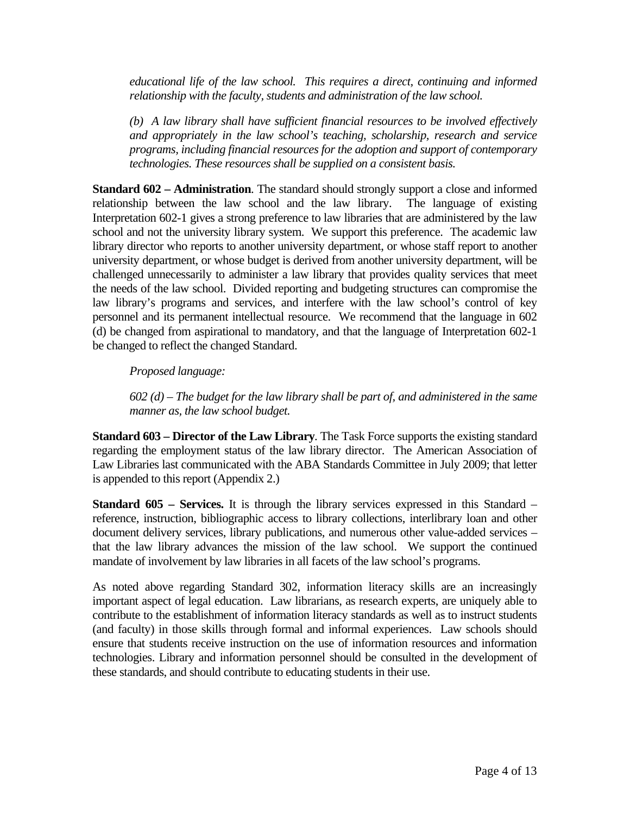*educational life of the law school. This requires a direct, continuing and informed relationship with the faculty, students and administration of the law school.* 

*(b) A law library shall have sufficient financial resources to be involved effectively and appropriately in the law school's teaching, scholarship, research and service programs, including financial resources for the adoption and support of contemporary technologies. These resources shall be supplied on a consistent basis.*

**Standard 602 – Administration**. The standard should strongly support a close and informed relationship between the law school and the law library. The language of existing Interpretation 602-1 gives a strong preference to law libraries that are administered by the law school and not the university library system. We support this preference. The academic law library director who reports to another university department, or whose staff report to another university department, or whose budget is derived from another university department, will be challenged unnecessarily to administer a law library that provides quality services that meet the needs of the law school. Divided reporting and budgeting structures can compromise the law library's programs and services, and interfere with the law school's control of key personnel and its permanent intellectual resource. We recommend that the language in 602 (d) be changed from aspirational to mandatory, and that the language of Interpretation 602-1 be changed to reflect the changed Standard.

*Proposed language:* 

*602 (d) – The budget for the law library shall be part of, and administered in the same manner as, the law school budget.* 

**Standard 603 – Director of the Law Library**. The Task Force supports the existing standard regarding the employment status of the law library director. The American Association of Law Libraries last communicated with the ABA Standards Committee in July 2009; that letter is appended to this report (Appendix 2.)

**Standard 605 – Services.** It is through the library services expressed in this Standard – reference, instruction, bibliographic access to library collections, interlibrary loan and other document delivery services, library publications, and numerous other value-added services – that the law library advances the mission of the law school. We support the continued mandate of involvement by law libraries in all facets of the law school's programs.

As noted above regarding Standard 302, information literacy skills are an increasingly important aspect of legal education. Law librarians, as research experts, are uniquely able to contribute to the establishment of information literacy standards as well as to instruct students (and faculty) in those skills through formal and informal experiences. Law schools should ensure that students receive instruction on the use of information resources and information technologies. Library and information personnel should be consulted in the development of these standards, and should contribute to educating students in their use.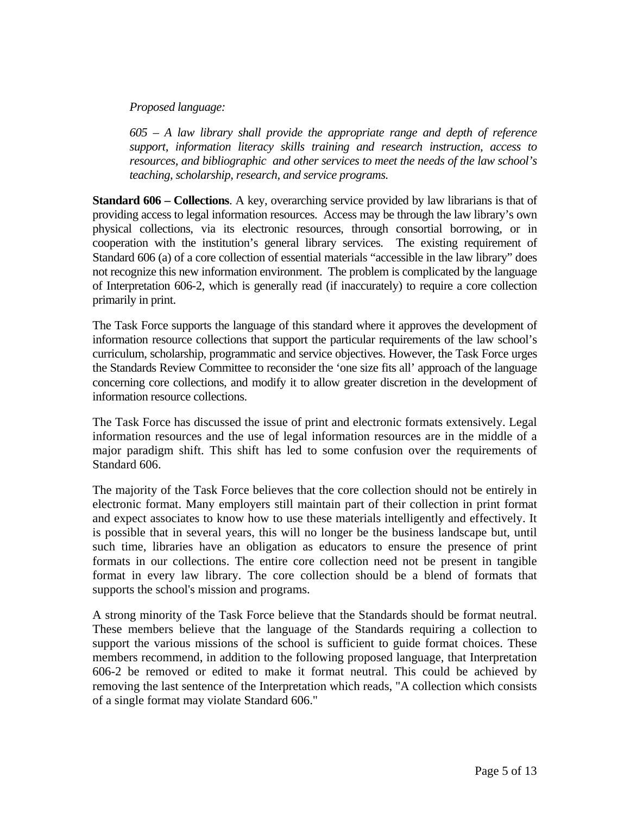#### *Proposed language:*

*605 – A law library shall provide the appropriate range and depth of reference support, information literacy skills training and research instruction, access to resources, and bibliographic and other services to meet the needs of the law school's teaching, scholarship, research, and service programs.* 

**Standard 606 – Collections**. A key, overarching service provided by law librarians is that of providing access to legal information resources. Access may be through the law library's own physical collections, via its electronic resources, through consortial borrowing, or in cooperation with the institution's general library services. The existing requirement of Standard 606 (a) of a core collection of essential materials "accessible in the law library" does not recognize this new information environment. The problem is complicated by the language of Interpretation 606-2, which is generally read (if inaccurately) to require a core collection primarily in print.

The Task Force supports the language of this standard where it approves the development of information resource collections that support the particular requirements of the law school's curriculum, scholarship, programmatic and service objectives. However, the Task Force urges the Standards Review Committee to reconsider the 'one size fits all' approach of the language concerning core collections, and modify it to allow greater discretion in the development of information resource collections.

The Task Force has discussed the issue of print and electronic formats extensively. Legal information resources and the use of legal information resources are in the middle of a major paradigm shift. This shift has led to some confusion over the requirements of Standard 606.

The majority of the Task Force believes that the core collection should not be entirely in electronic format. Many employers still maintain part of their collection in print format and expect associates to know how to use these materials intelligently and effectively. It is possible that in several years, this will no longer be the business landscape but, until such time, libraries have an obligation as educators to ensure the presence of print formats in our collections. The entire core collection need not be present in tangible format in every law library. The core collection should be a blend of formats that supports the school's mission and programs.

A strong minority of the Task Force believe that the Standards should be format neutral. These members believe that the language of the Standards requiring a collection to support the various missions of the school is sufficient to guide format choices. These members recommend, in addition to the following proposed language, that Interpretation 606-2 be removed or edited to make it format neutral. This could be achieved by removing the last sentence of the Interpretation which reads, "A collection which consists of a single format may violate Standard 606."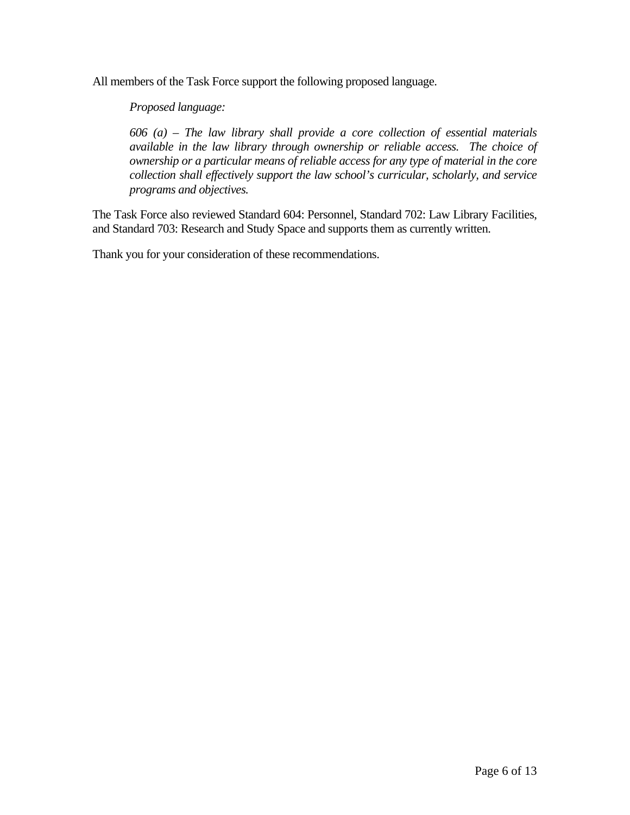All members of the Task Force support the following proposed language.

*Proposed language:* 

*606 (a) – The law library shall provide a core collection of essential materials available in the law library through ownership or reliable access. The choice of ownership or a particular means of reliable access for any type of material in the core collection shall effectively support the law school's curricular, scholarly, and service programs and objectives.* 

The Task Force also reviewed Standard 604: Personnel, Standard 702: Law Library Facilities, and Standard 703: Research and Study Space and supports them as currently written.

Thank you for your consideration of these recommendations.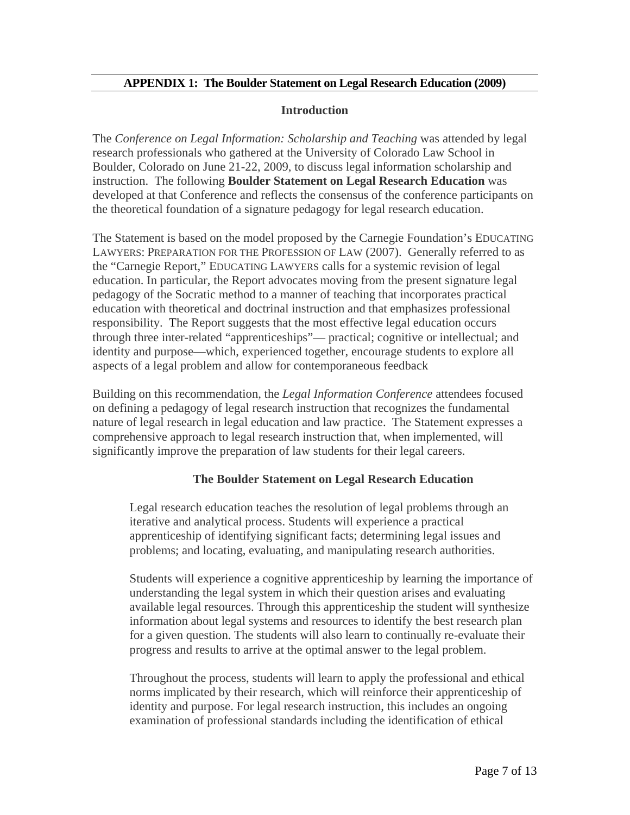## **APPENDIX 1: The Boulder Statement on Legal Research Education (2009)**

### **Introduction**

The *Conference on Legal Information: Scholarship and Teaching* was attended by legal research professionals who gathered at the University of Colorado Law School in Boulder, Colorado on June 21-22, 2009, to discuss legal information scholarship and instruction. The following **Boulder Statement on Legal Research Education** was developed at that Conference and reflects the consensus of the conference participants on the theoretical foundation of a signature pedagogy for legal research education.

The Statement is based on the model proposed by the Carnegie Foundation's EDUCATING LAWYERS: PREPARATION FOR THE PROFESSION OF LAW (2007). Generally referred to as the "Carnegie Report," EDUCATING LAWYERS calls for a systemic revision of legal education. In particular, the Report advocates moving from the present signature legal pedagogy of the Socratic method to a manner of teaching that incorporates practical education with theoretical and doctrinal instruction and that emphasizes professional responsibility. The Report suggests that the most effective legal education occurs through three inter-related "apprenticeships"— practical; cognitive or intellectual; and identity and purpose—which, experienced together, encourage students to explore all aspects of a legal problem and allow for contemporaneous feedback

Building on this recommendation, the *Legal Information Conference* attendees focused on defining a pedagogy of legal research instruction that recognizes the fundamental nature of legal research in legal education and law practice. The Statement expresses a comprehensive approach to legal research instruction that, when implemented, will significantly improve the preparation of law students for their legal careers.

### **The Boulder Statement on Legal Research Education**

Legal research education teaches the resolution of legal problems through an iterative and analytical process. Students will experience a practical apprenticeship of identifying significant facts; determining legal issues and problems; and locating, evaluating, and manipulating research authorities.

Students will experience a cognitive apprenticeship by learning the importance of understanding the legal system in which their question arises and evaluating available legal resources. Through this apprenticeship the student will synthesize information about legal systems and resources to identify the best research plan for a given question. The students will also learn to continually re-evaluate their progress and results to arrive at the optimal answer to the legal problem.

Throughout the process, students will learn to apply the professional and ethical norms implicated by their research, which will reinforce their apprenticeship of identity and purpose. For legal research instruction, this includes an ongoing examination of professional standards including the identification of ethical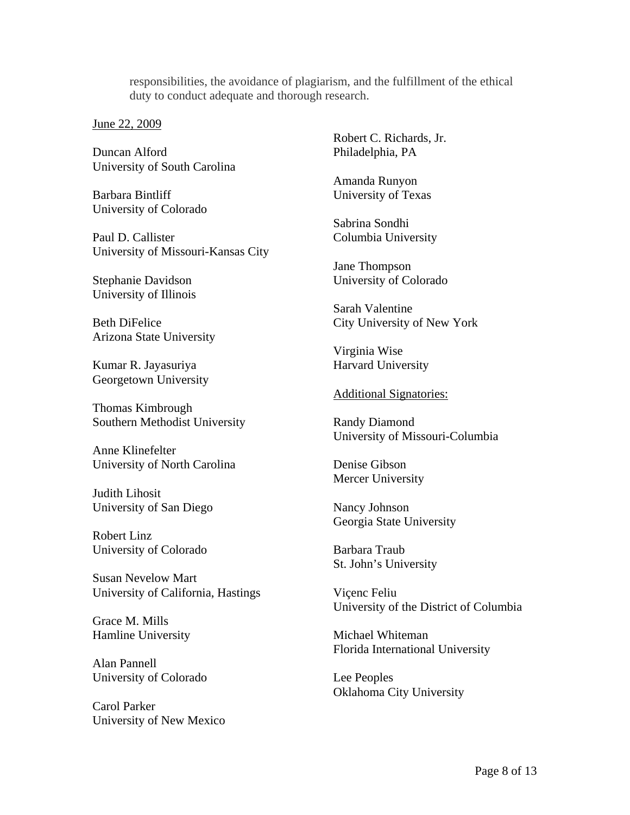responsibilities, the avoidance of plagiarism, and the fulfillment of the ethical duty to conduct adequate and thorough research.

June 22, 2009

Duncan Alford University of South Carolina

Barbara Bintliff University of Colorado

Paul D. Callister University of Missouri-Kansas City

Stephanie Davidson University of Illinois

Beth DiFelice Arizona State University

Kumar R. Jayasuriya Georgetown University

Thomas Kimbrough Southern Methodist University

Anne Klinefelter University of North Carolina

Judith Lihosit University of San Diego

Robert Linz University of Colorado

Susan Nevelow Mart University of California, Hastings

Grace M. Mills Hamline University

Alan Pannell University of Colorado

Carol Parker University of New Mexico Robert C. Richards, Jr. Philadelphia, PA

Amanda Runyon University of Texas

Sabrina Sondhi Columbia University

Jane Thompson University of Colorado

Sarah Valentine City University of New York

Virginia Wise Harvard University

#### Additional Signatories:

Randy Diamond University of Missouri-Columbia

Denise Gibson Mercer University

Nancy Johnson Georgia State University

Barbara Traub St. John's University

Viçenc Feliu University of the District of Columbia

Michael Whiteman Florida International University

Lee Peoples Oklahoma City University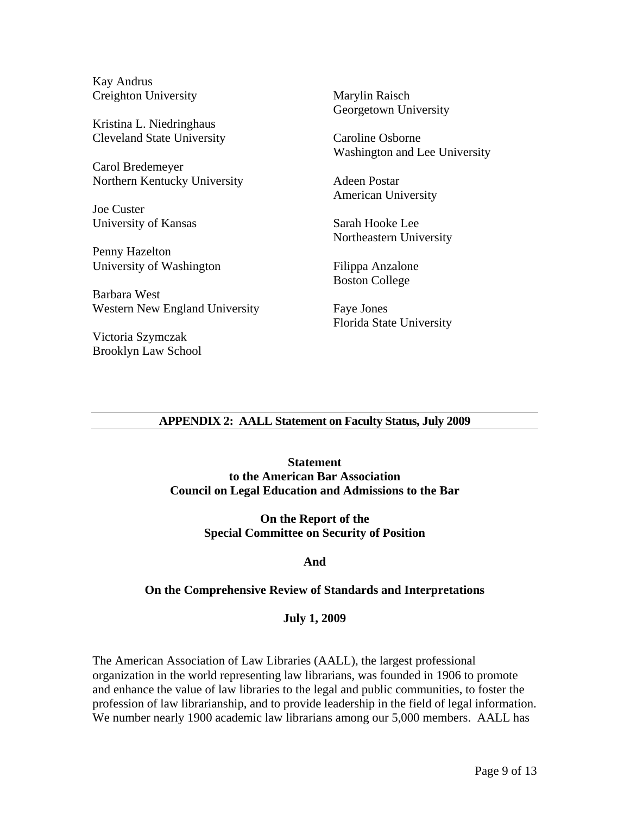Kay Andrus Creighton University

Kristina L. Niedringhaus Cleveland State University

Carol Bredemeyer Northern Kentucky University

Joe Custer University of Kansas

Penny Hazelton University of Washington

Barbara West Western New England University

Victoria Szymczak Brooklyn Law School Marylin Raisch Georgetown University

Caroline Osborne Washington and Lee University

Adeen Postar American University

Sarah Hooke Lee Northeastern University

Filippa Anzalone Boston College

Faye Jones Florida State University

## **APPENDIX 2: AALL Statement on Faculty Status, July 2009**

**Statement to the American Bar Association Council on Legal Education and Admissions to the Bar** 

> **On the Report of the Special Committee on Security of Position**

> > **And**

### **On the Comprehensive Review of Standards and Interpretations**

### **July 1, 2009**

The American Association of Law Libraries (AALL), the largest professional organization in the world representing law librarians, was founded in 1906 to promote and enhance the value of law libraries to the legal and public communities, to foster the profession of law librarianship, and to provide leadership in the field of legal information. We number nearly 1900 academic law librarians among our 5,000 members. AALL has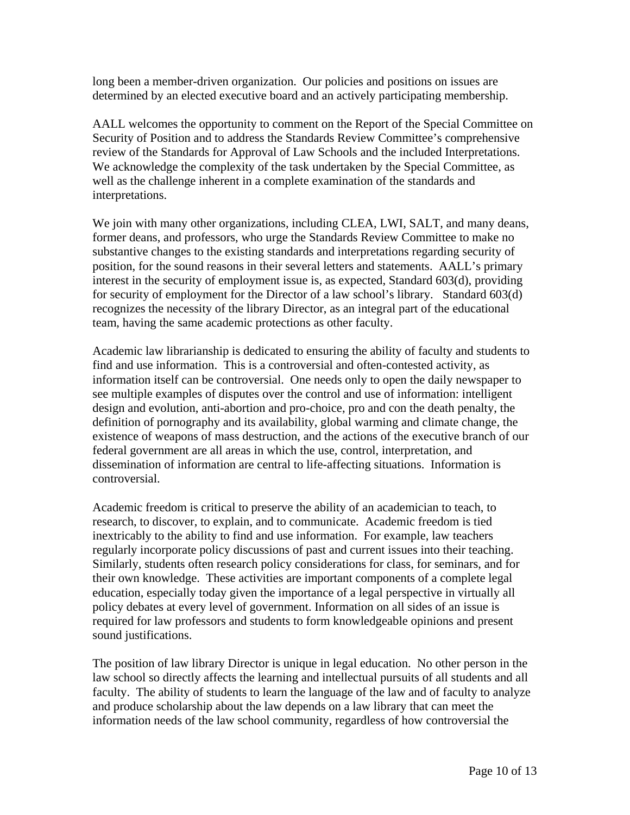long been a member-driven organization. Our policies and positions on issues are determined by an elected executive board and an actively participating membership.

AALL welcomes the opportunity to comment on the Report of the Special Committee on Security of Position and to address the Standards Review Committee's comprehensive review of the Standards for Approval of Law Schools and the included Interpretations. We acknowledge the complexity of the task undertaken by the Special Committee, as well as the challenge inherent in a complete examination of the standards and interpretations.

We join with many other organizations, including CLEA, LWI, SALT, and many deans, former deans, and professors, who urge the Standards Review Committee to make no substantive changes to the existing standards and interpretations regarding security of position, for the sound reasons in their several letters and statements. AALL's primary interest in the security of employment issue is, as expected, Standard 603(d), providing for security of employment for the Director of a law school's library. Standard 603(d) recognizes the necessity of the library Director, as an integral part of the educational team, having the same academic protections as other faculty.

Academic law librarianship is dedicated to ensuring the ability of faculty and students to find and use information. This is a controversial and often-contested activity, as information itself can be controversial. One needs only to open the daily newspaper to see multiple examples of disputes over the control and use of information: intelligent design and evolution, anti-abortion and pro-choice, pro and con the death penalty, the definition of pornography and its availability, global warming and climate change, the existence of weapons of mass destruction, and the actions of the executive branch of our federal government are all areas in which the use, control, interpretation, and dissemination of information are central to life-affecting situations. Information is controversial.

Academic freedom is critical to preserve the ability of an academician to teach, to research, to discover, to explain, and to communicate. Academic freedom is tied inextricably to the ability to find and use information. For example, law teachers regularly incorporate policy discussions of past and current issues into their teaching. Similarly, students often research policy considerations for class, for seminars, and for their own knowledge. These activities are important components of a complete legal education, especially today given the importance of a legal perspective in virtually all policy debates at every level of government. Information on all sides of an issue is required for law professors and students to form knowledgeable opinions and present sound justifications.

The position of law library Director is unique in legal education. No other person in the law school so directly affects the learning and intellectual pursuits of all students and all faculty. The ability of students to learn the language of the law and of faculty to analyze and produce scholarship about the law depends on a law library that can meet the information needs of the law school community, regardless of how controversial the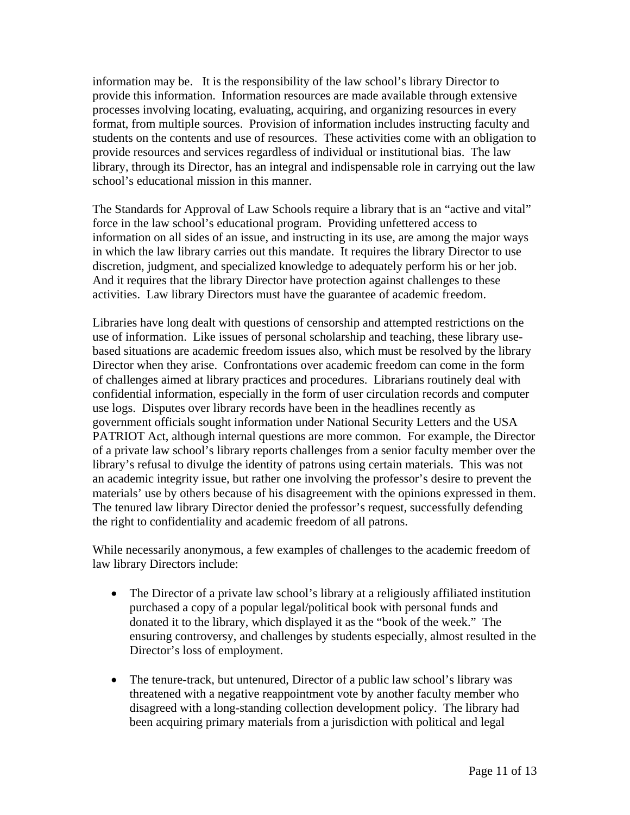information may be. It is the responsibility of the law school's library Director to provide this information. Information resources are made available through extensive processes involving locating, evaluating, acquiring, and organizing resources in every format, from multiple sources. Provision of information includes instructing faculty and students on the contents and use of resources. These activities come with an obligation to provide resources and services regardless of individual or institutional bias. The law library, through its Director, has an integral and indispensable role in carrying out the law school's educational mission in this manner.

The Standards for Approval of Law Schools require a library that is an "active and vital" force in the law school's educational program. Providing unfettered access to information on all sides of an issue, and instructing in its use, are among the major ways in which the law library carries out this mandate. It requires the library Director to use discretion, judgment, and specialized knowledge to adequately perform his or her job. And it requires that the library Director have protection against challenges to these activities. Law library Directors must have the guarantee of academic freedom.

Libraries have long dealt with questions of censorship and attempted restrictions on the use of information. Like issues of personal scholarship and teaching, these library usebased situations are academic freedom issues also, which must be resolved by the library Director when they arise. Confrontations over academic freedom can come in the form of challenges aimed at library practices and procedures. Librarians routinely deal with confidential information, especially in the form of user circulation records and computer use logs. Disputes over library records have been in the headlines recently as government officials sought information under National Security Letters and the USA PATRIOT Act, although internal questions are more common. For example, the Director of a private law school's library reports challenges from a senior faculty member over the library's refusal to divulge the identity of patrons using certain materials. This was not an academic integrity issue, but rather one involving the professor's desire to prevent the materials' use by others because of his disagreement with the opinions expressed in them. The tenured law library Director denied the professor's request, successfully defending the right to confidentiality and academic freedom of all patrons.

While necessarily anonymous, a few examples of challenges to the academic freedom of law library Directors include:

- The Director of a private law school's library at a religiously affiliated institution purchased a copy of a popular legal/political book with personal funds and donated it to the library, which displayed it as the "book of the week." The ensuring controversy, and challenges by students especially, almost resulted in the Director's loss of employment.
- The tenure-track, but untenured, Director of a public law school's library was threatened with a negative reappointment vote by another faculty member who disagreed with a long-standing collection development policy. The library had been acquiring primary materials from a jurisdiction with political and legal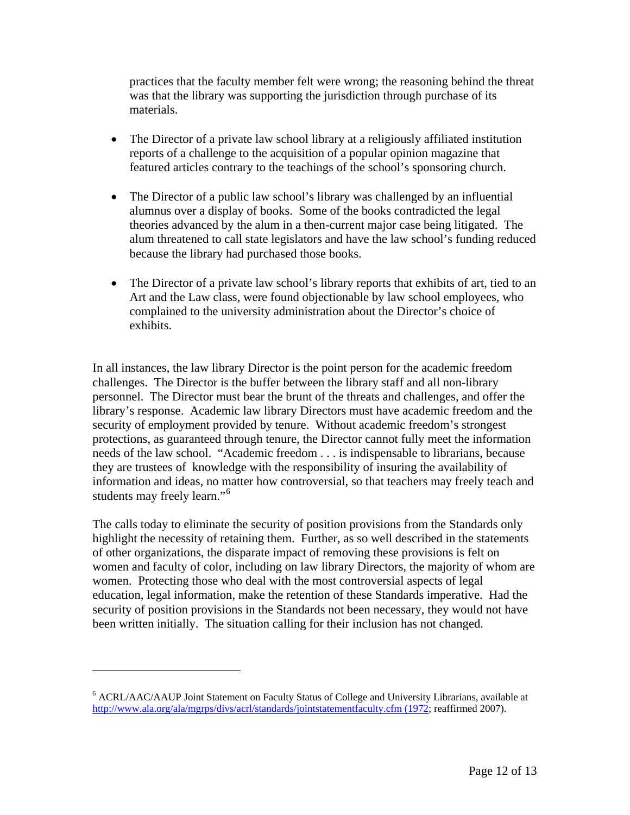practices that the faculty member felt were wrong; the reasoning behind the threat was that the library was supporting the jurisdiction through purchase of its materials.

- The Director of a private law school library at a religiously affiliated institution reports of a challenge to the acquisition of a popular opinion magazine that featured articles contrary to the teachings of the school's sponsoring church.
- The Director of a public law school's library was challenged by an influential alumnus over a display of books. Some of the books contradicted the legal theories advanced by the alum in a then-current major case being litigated. The alum threatened to call state legislators and have the law school's funding reduced because the library had purchased those books.
- The Director of a private law school's library reports that exhibits of art, tied to an Art and the Law class, were found objectionable by law school employees, who complained to the university administration about the Director's choice of exhibits.

In all instances, the law library Director is the point person for the academic freedom challenges. The Director is the buffer between the library staff and all non-library personnel. The Director must bear the brunt of the threats and challenges, and offer the library's response. Academic law library Directors must have academic freedom and the security of employment provided by tenure. Without academic freedom's strongest protections, as guaranteed through tenure, the Director cannot fully meet the information needs of the law school. "Academic freedom . . . is indispensable to librarians, because they are trustees of knowledge with the responsibility of insuring the availability of information and ideas, no matter how controversial, so that teachers may freely teach and students may freely learn."<sup>[6](#page-11-0)</sup>

The calls today to eliminate the security of position provisions from the Standards only highlight the necessity of retaining them. Further, as so well described in the statements of other organizations, the disparate impact of removing these provisions is felt on women and faculty of color, including on law library Directors, the majority of whom are women. Protecting those who deal with the most controversial aspects of legal education, legal information, make the retention of these Standards imperative. Had the security of position provisions in the Standards not been necessary, they would not have been written initially. The situation calling for their inclusion has not changed.

 $\overline{a}$ 

<span id="page-11-0"></span><sup>&</sup>lt;sup>6</sup> ACRL/AAC/AAUP Joint Statement on Faculty Status of College and University Librarians, available at http://www.ala.org/ala/mgrps/divs/acrl/standards/jointstatementfaculty.cfm (1972; reaffirmed 2007).